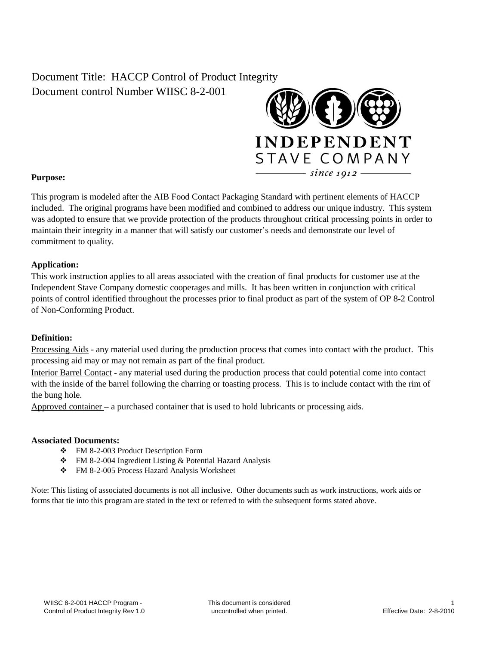## Document Title: HACCP Control of Product Integrity Document control Number WIISC 8-2-001



## **Purpose:**

This program is modeled after the AIB Food Contact Packaging Standard with pertinent elements of HACCP included. The original programs have been modified and combined to address our unique industry. This system was adopted to ensure that we provide protection of the products throughout critical processing points in order to maintain their integrity in a manner that will satisfy our customer's needs and demonstrate our level of commitment to quality.

#### **Application:**

This work instruction applies to all areas associated with the creation of final products for customer use at the Independent Stave Company domestic cooperages and mills. It has been written in conjunction with critical points of control identified throughout the processes prior to final product as part of the system of OP 8-2 Control of Non-Conforming Product.

#### **Definition:**

Processing Aids - any material used during the production process that comes into contact with the product. This processing aid may or may not remain as part of the final product.

Interior Barrel Contact - any material used during the production process that could potential come into contact with the inside of the barrel following the charring or toasting process. This is to include contact with the rim of the bung hole.

Approved container – a purchased container that is used to hold lubricants or processing aids.

#### **Associated Documents:**

- FM 8-2-003 Product Description Form
- FM 8-2-004 Ingredient Listing & Potential Hazard Analysis
- \* FM 8-2-005 Process Hazard Analysis Worksheet

Note: This listing of associated documents is not all inclusive. Other documents such as work instructions, work aids or forms that tie into this program are stated in the text or referred to with the subsequent forms stated above.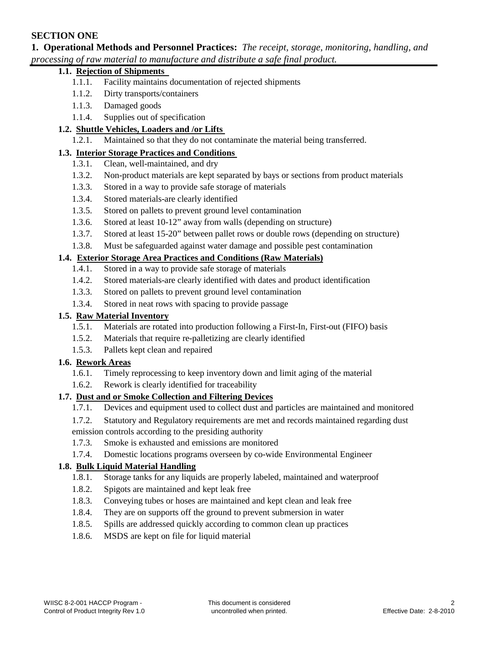## **SECTION ONE**

**1. Operational Methods and Personnel Practices:** *The receipt, storage, monitoring, handling, and processing of raw material to manufacture and distribute a safe final product.*

## **1.1. Rejection of Shipments**

- 1.1.1. Facility maintains documentation of rejected shipments
- 1.1.2. Dirty transports/containers
- 1.1.3. Damaged goods
- 1.1.4. Supplies out of specification

# **1.2. <u>Shuttle Vehicles, Loaders and /or Lifts</u> <b>1.2.1.** Maintained so that they do not con

Maintained so that they do not contaminate the material being transferred.

#### **1.3. Interior Storage Practices and Conditions**

- 1.3.1. Clean, well-maintained, and dry
- 1.3.2. Non-product materials are kept separated by bays or sections from product materials
- 1.3.3. Stored in a way to provide safe storage of materials
- 1.3.4. Stored materials-are clearly identified
- 1.3.5. Stored on pallets to prevent ground level contamination
- 1.3.6. Stored at least 10-12" away from walls (depending on structure)
- 1.3.7. Stored at least 15-20" between pallet rows or double rows (depending on structure)
- 1.3.8. Must be safeguarded against water damage and possible pest contamination

#### **1.4. Exterior Storage Area Practices and Conditions (Raw Materials)**

- 1.4.1. Stored in a way to provide safe storage of materials
- 1.4.2. Stored materials-are clearly identified with dates and product identification
- 1.3.3. Stored on pallets to prevent ground level contamination
- 1.3.4. Stored in neat rows with spacing to provide passage

#### **1.5. Raw Material Inventory**

- 1.5.1. Materials are rotated into production following a First-In, First-out (FIFO) basis
- 1.5.2. Materials that require re-palletizing are clearly identified
- 1.5.3. Pallets kept clean and repaired

## **1.6. Rework Areas**

- 1.6.1. Timely reprocessing to keep inventory down and limit aging of the material
- 1.6.2. Rework is clearly identified for traceability

## **1.7. Dust and or Smoke Collection and Filtering Devices**

- 1.7.1. Devices and equipment used to collect dust and particles are maintained and monitored
- 1.7.2. Statutory and Regulatory requirements are met and records maintained regarding dust emission controls according to the presiding authority
- 1.7.3. Smoke is exhausted and emissions are monitored
- 1.7.4. Domestic locations programs overseen by co-wide Environmental Engineer

## **1.8. Bulk Liquid Material Handling**

- 1.8.1. Storage tanks for any liquids are properly labeled, maintained and waterproof
- 1.8.2. Spigots are maintained and kept leak free
- 1.8.3. Conveying tubes or hoses are maintained and kept clean and leak free
- 1.8.4. They are on supports off the ground to prevent submersion in water
- 1.8.5. Spills are addressed quickly according to common clean up practices
- 1.8.6. MSDS are kept on file for liquid material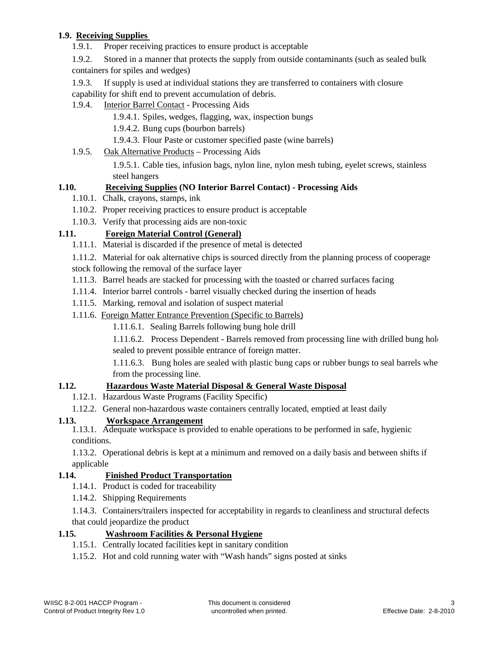## **1.9. Receiving Supplies**

1.9.1. Proper receiving practices to ensure product is acceptable

1.9.2. Stored in a manner that protects the supply from outside contaminants (such as sealed bulk containers for spiles and wedges)

1.9.3. If supply is used at individual stations they are transferred to containers with closure capability for shift end to prevent accumulation of debris.

## 1.9.4. Interior Barrel Contact - Processing Aids

- 1.9.4.1. Spiles, wedges, flagging, wax, inspection bungs
- 1.9.4.2. Bung cups (bourbon barrels)
- 1.9.4.3. Flour Paste or customer specified paste (wine barrels)

#### 1.9.5. Oak Alternative Products – Processing Aids

1.9.5.1. Cable ties, infusion bags, nylon line, nylon mesh tubing, eyelet screws, stainless steel hangers

## **1.10. Receiving Supplies (NO Interior Barrel Contact) - Processing Aids**

- 1.10.1. Chalk, crayons, stamps, ink
- 1.10.2. Proper receiving practices to ensure product is acceptable
- 1.10.3. Verify that processing aids are non-toxic

## **1.11. Foreign Material Control (General)**

- 1.11.1. Material is discarded if the presence of metal is detected
- 1.11.2. Material for oak alternative chips is sourced directly from the planning process of cooperage stock following the removal of the surface layer
- 
- 1.11.3. Barrel heads are stacked for processing with the toasted or charred surfaces facing
- 1.11.4. Interior barrel controls barrel visually checked during the insertion of heads
- 1.11.5. Marking, removal and isolation of suspect material
- 1.11.6. Foreign Matter Entrance Prevention (Specific to Barrels)
	- 1.11.6.1. Sealing Barrels following bung hole drill

1.11.6.2. Process Dependent - Barrels removed from processing line with drilled bung hole sealed to prevent possible entrance of foreign matter.

1.11.6.3. Bung holes are sealed with plastic bung caps or rubber bungs to seal barrels when from the processing line.

## **1.12. Hazardous Waste Material Disposal & General Waste Disposal**

- 1.12.1. Hazardous Waste Programs (Facility Specific)
- 1.12.2. General non-hazardous waste containers centrally located, emptied at least daily

## **1.13. Workspace Arrangement**

1.13.1. Adequate workspace is provided to enable operations to be performed in safe, hygienic conditions.

1.13.2. Operational debris is kept at a minimum and removed on a daily basis and between shifts if applicable

## **1.14. Finished Product Transportation**

- 1.14.1. Product is coded for traceability
- 1.14.2. Shipping Requirements

1.14.3. Containers/trailers inspected for acceptability in regards to cleanliness and structural defects that could jeopardize the product

## **1.15. Washroom Facilities & Personal Hygiene**

- 1.15.1. Centrally located facilities kept in sanitary condition
- 1.15.2. Hot and cold running water with "Wash hands" signs posted at sinks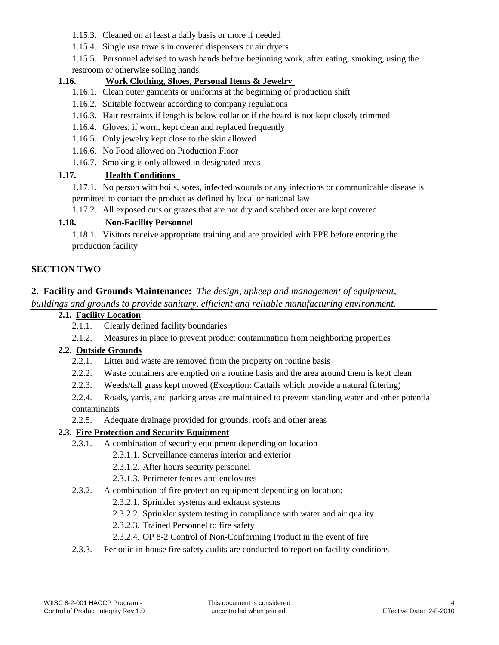- 1.15.3. Cleaned on at least a daily basis or more if needed
- 1.15.4. Single use towels in covered dispensers or air dryers

1.15.5. Personnel advised to wash hands before beginning work, after eating, smoking, using the restroom or otherwise soiling hands.

## **1.16. Work Clothing, Shoes, Personal Items & Jewelry**

- 1.16.1. Clean outer garments or uniforms at the beginning of production shift
- 1.16.2. Suitable footwear according to company regulations
- 1.16.3. Hair restraints if length is below collar or if the beard is not kept closely trimmed
- 1.16.4. Gloves, if worn, kept clean and replaced frequently
- 1.16.5. Only jewelry kept close to the skin allowed
- 1.16.6. No Food allowed on Production Floor
- 1.16.7. Smoking is only allowed in designated areas

## **1.17. Health Conditions**

1.17.1. No person with boils, sores, infected wounds or any infections or communicable disease is permitted to contact the product as defined by local or national law

1.17.2. All exposed cuts or grazes that are not dry and scabbed over are kept covered

## **1.18. Non-Facility Personnel**

1.18.1. Visitors receive appropriate training and are provided with PPE before entering the production facility

## **SECTION TWO**

## **2. Facility and Grounds Maintenance:** *The design, upkeep and management of equipment,*

*buildings and grounds to provide sanitary, efficient and reliable manufacturing environment.*

- **2.1. Facility Location**
	- 2.1.1. Clearly defined facility boundaries
	- 2.1.2. Measures in place to prevent product contamination from neighboring properties

## **2.2. Outside Grounds**

- 2.2.1. Litter and waste are removed from the property on routine basis
- 2.2.2. Waste containers are emptied on a routine basis and the area around them is kept clean
- 2.2.3. Weeds/tall grass kept mowed (Exception: Cattails which provide a natural filtering)

2.2.4. Roads, yards, and parking areas are maintained to prevent standing water and other potential contaminants

2.2.5. Adequate drainage provided for grounds, roofs and other areas

## **2.3. Fire Protection and Security Equipment**

- 2.3.1. A combination of security equipment depending on location
	- 2.3.1.1. Surveillance cameras interior and exterior
	- 2.3.1.2. After hours security personnel
	- 2.3.1.3. Perimeter fences and enclosures
- 2.3.2. A combination of fire protection equipment depending on location:
	- 2.3.2.1. Sprinkler systems and exhaust systems
	- 2.3.2.2. Sprinkler system testing in compliance with water and air quality
	- 2.3.2.3. Trained Personnel to fire safety
	- 2.3.2.4. OP 8-2 Control of Non-Conforming Product in the event of fire
- 2.3.3. Periodic in-house fire safety audits are conducted to report on facility conditions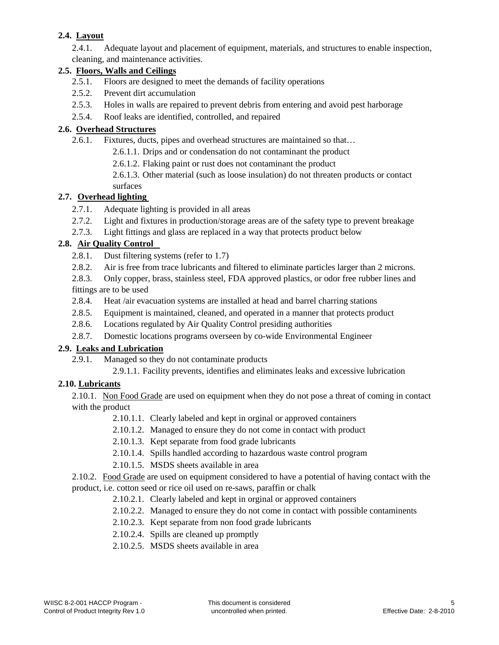## **2.4. Layout**

2.4.1. Adequate layout and placement of equipment, materials, and structures to enable inspection, cleaning, and maintenance activities.

## **2.5. Floors, Walls and Ceilings**

- 2.5.1. Floors are designed to meet the demands of facility operations
- 2.5.2. Prevent dirt accumulation
- 2.5.3. Holes in walls are repaired to prevent debris from entering and avoid pest harborage
- 2.5.4. Roof leaks are identified, controlled, and repaired

#### **2.6. Overhead Structures**

2.6.1. Fixtures, ducts, pipes and overhead structures are maintained so that…

2.6.1.1. Drips and or condensation do not contaminant the product

2.6.1.2. Flaking paint or rust does not contaminant the product

2.6.1.3. Other material (such as loose insulation) do not threaten products or contact surfaces

## **2.7. Overhead lighting**

- 2.7.1. Adequate lighting is provided in all areas
- 2.7.2. Light and fixtures in production/storage areas are of the safety type to prevent breakage
- 2.7.3. Light fittings and glass are replaced in a way that protects product below

## **2.8. Air Quality Control**

- 2.8.1. Dust filtering systems (refer to 1.7)
- 2.8.2. Air is free from trace lubricants and filtered to eliminate particles larger than 2 microns.

2.8.3. Only copper, brass, stainless steel, FDA approved plastics, or odor free rubber lines and fittings are to be used

- 2.8.4. Heat /air evacuation systems are installed at head and barrel charring stations
- 2.8.5. Equipment is maintained, cleaned, and operated in a manner that protects product
- 2.8.6. Locations regulated by Air Quality Control presiding authorities
- 2.8.7. Domestic locations programs overseen by co-wide Environmental Engineer

## **2.9. Leaks and Lubrication**

- 2.9.1. Managed so they do not contaminate products
	- 2.9.1.1. Facility prevents, identifies and eliminates leaks and excessive lubrication

## **2.10. Lubricants**

2.10.1. Non Food Grade are used on equipment when they do not pose a threat of coming in contact with the product

- 2.10.1.1. Clearly labeled and kept in orginal or approved containers
- 2.10.1.2. Managed to ensure they do not come in contact with product
- 2.10.1.3. Kept separate from food grade lubricants
- 2.10.1.4. Spills handled according to hazardous waste control program
- 2.10.1.5. MSDS sheets available in area

2.10.2. Food Grade are used on equipment considered to have a potential of having contact with the product, i.e. cotton seed or rice oil used on re-saws, paraffin or chalk

- 2.10.2.1. Clearly labeled and kept in orginal or approved containers
- 2.10.2.2. Managed to ensure they do not come in contact with possible contaminents
- 2.10.2.3. Kept separate from non food grade lubricants
- 2.10.2.4. Spills are cleaned up promptly
- 2.10.2.5. MSDS sheets available in area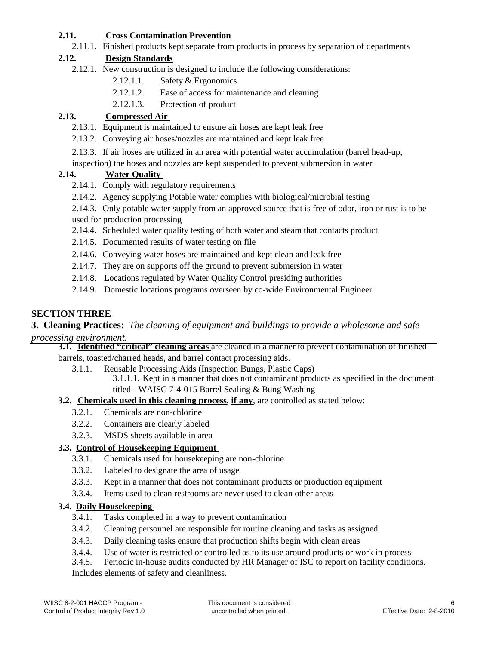## **2.11. Cross Contamination Prevention**

2.11.1. Finished products kept separate from products in process by separation of departments

## **2.12. Design Standards**

- 2.12.1. New construction is designed to include the following considerations:
	- 2.12.1.1. Safety & Ergonomics
	- 2.12.1.2. Ease of access for maintenance and cleaning
	- 2.12.1.3. Protection of product

## **2.13. Compressed Air**

- 2.13.1. Equipment is maintained to ensure air hoses are kept leak free
- 2.13.2. Conveying air hoses/nozzles are maintained and kept leak free
- 2.13.3. If air hoses are utilized in an area with potential water accumulation (barrel head-up,
- inspection) the hoses and nozzles are kept suspended to prevent submersion in water

## **2.14. Water Quality**

- 2.14.1. Comply with regulatory requirements
- 2.14.2. Agency supplying Potable water complies with biological/microbial testing
- 2.14.3. Only potable water supply from an approved source that is free of odor, iron or rust is to be used for production processing
- 2.14.4. Scheduled water quality testing of both water and steam that contacts product
- 2.14.5. Documented results of water testing on file
- 2.14.6. Conveying water hoses are maintained and kept clean and leak free
- 2.14.7. They are on supports off the ground to prevent submersion in water
- 2.14.8. Locations regulated by Water Quality Control presiding authorities
- 2.14.9. Domestic locations programs overseen by co-wide Environmental Engineer

## **SECTION THREE**

## **3. Cleaning Practices:** *The cleaning of equipment and buildings to provide a wholesome and safe processing environment.*

#### **3.1. Identified "critical" cleaning areas** are cleaned in a manner to prevent contamination of finished barrels, toasted/charred heads, and barrel contact processing aids.

- 3.1.1. Reusable Processing Aids (Inspection Bungs, Plastic Caps)
	- 3.1.1.1. Kept in a manner that does not contaminant products as specified in the document titled - WAISC 7-4-015 Barrel Sealing & Bung Washing
- **3.2. Chemicals used in this cleaning process, if any**, are controlled as stated below:
	- 3.2.1. Chemicals are non-chlorine
		- 3.2.2. Containers are clearly labeled
		- 3.2.3. MSDS sheets available in area

## **3.3. Control of Housekeeping Equipment**

- 3.3.1. Chemicals used for housekeeping are non-chlorine
- 3.3.2. Labeled to designate the area of usage
- 3.3.3. Kept in a manner that does not contaminant products or production equipment
- 3.3.4. Items used to clean restrooms are never used to clean other areas

## **3.4. Daily Housekeeping**

- 3.4.1. Tasks completed in a way to prevent contamination
- 3.4.2. Cleaning personnel are responsible for routine cleaning and tasks as assigned
- 3.4.3. Daily cleaning tasks ensure that production shifts begin with clean areas
- 3.4.4. Use of water is restricted or controlled as to its use around products or work in process
- 3.4.5. Periodic in-house audits conducted by HR Manager of ISC to report on facility conditions. Includes elements of safety and cleanliness.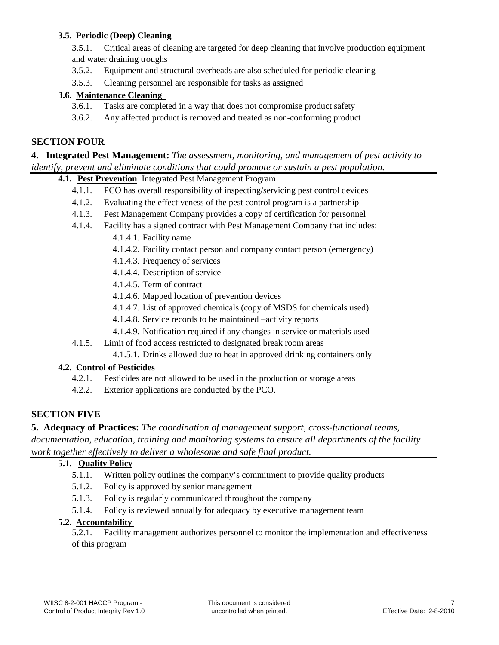## **3.5. Periodic (Deep) Cleaning**

3.5.1. Critical areas of cleaning are targeted for deep cleaning that involve production equipment and water draining troughs

- 3.5.2. Equipment and structural overheads are also scheduled for periodic cleaning
- 3.5.3. Cleaning personnel are responsible for tasks as assigned

## **3.6. Maintenance Cleaning**

- 3.6.1. Tasks are completed in a way that does not compromise product safety
- 3.6.2. Any affected product is removed and treated as non-conforming product

## **SECTION FOUR**

## **4. Integrated Pest Management:** *The assessment, monitoring, and management of pest activity to identify, prevent and eliminate conditions that could promote or sustain a pest population.*

**4.1. Pest Prevention** Integrated Pest Management Program

- 4.1.1. PCO has overall responsibility of inspecting/servicing pest control devices
- 4.1.2. Evaluating the effectiveness of the pest control program is a partnership
- 4.1.3. Pest Management Company provides a copy of certification for personnel
- 4.1.4. Facility has a signed contract with Pest Management Company that includes:
	- 4.1.4.1. Facility name
	- 4.1.4.2. Facility contact person and company contact person (emergency)
	- 4.1.4.3. Frequency of services
	- 4.1.4.4. Description of service
	- 4.1.4.5. Term of contract
	- 4.1.4.6. Mapped location of prevention devices
	- 4.1.4.7. List of approved chemicals (copy of MSDS for chemicals used)
	- 4.1.4.8. Service records to be maintained –activity reports
	- 4.1.4.9. Notification required if any changes in service or materials used
- 4.1.5. Limit of food access restricted to designated break room areas
	- 4.1.5.1. Drinks allowed due to heat in approved drinking containers only

## **4.2. Control of Pesticides**

- 4.2.1. Pesticides are not allowed to be used in the production or storage areas
- 4.2.2. Exterior applications are conducted by the PCO.

## **SECTION FIVE**

**5. Adequacy of Practices:** *The coordination of management support, cross-functional teams, documentation, education, training and monitoring systems to ensure all departments of the facility work together effectively to deliver a wholesome and safe final product.*

#### **5.1. Quality Policy**

- 5.1.1. Written policy outlines the company's commitment to provide quality products
- 5.1.2. Policy is approved by senior management
- 5.1.3. Policy is regularly communicated throughout the company
- 5.1.4. Policy is reviewed annually for adequacy by executive management team

#### **5.2. Accountability**

5.2.1. Facility management authorizes personnel to monitor the implementation and effectiveness of this program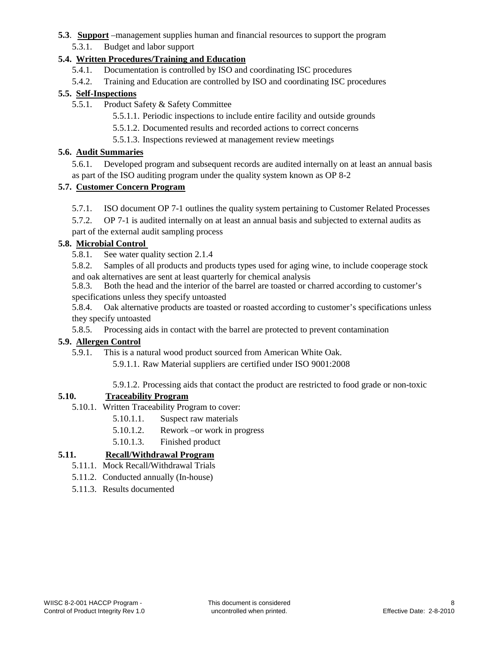#### **5.3**. **Support** –management supplies human and financial resources to support the program

## 5.3.1. Budget and labor support

## **5.4. Written Procedures/Training and Education**

- 5.4.1. Documentation is controlled by ISO and coordinating ISC procedures
- 5.4.2. Training and Education are controlled by ISO and coordinating ISC procedures

## **5.5. Self-Inspections**

- 5.5.1. Product Safety & Safety Committee
	- 5.5.1.1. Periodic inspections to include entire facility and outside grounds
	- 5.5.1.2. Documented results and recorded actions to correct concerns
	- 5.5.1.3. Inspections reviewed at management review meetings

#### **5.6. Audit Summaries**

5.6.1. Developed program and subsequent records are audited internally on at least an annual basis as part of the ISO auditing program under the quality system known as OP 8-2

#### **5.7. Customer Concern Program**

5.7.1. ISO document OP 7-1 outlines the quality system pertaining to Customer Related Processes

5.7.2. OP 7-1 is audited internally on at least an annual basis and subjected to external audits as part of the external audit sampling process

## **5.8. Microbial Control**

5.8.1. See water quality section 2.1.4

5.8.2. Samples of all products and products types used for aging wine, to include cooperage stock and oak alternatives are sent at least quarterly for chemical analysis

5.8.3. Both the head and the interior of the barrel are toasted or charred according to customer's specifications unless they specify untoasted

5.8.4. Oak alternative products are toasted or roasted according to customer's specifications unless they specify untoasted

5.8.5. Processing aids in contact with the barrel are protected to prevent contamination

#### **5.9. Allergen Control**

5.9.1. This is a natural wood product sourced from American White Oak.

5.9.1.1. Raw Material suppliers are certified under ISO 9001:2008

5.9.1.2. Processing aids that contact the product are restricted to food grade or non-toxic

## **5.10. Traceability Program**

- 5.10.1. Written Traceability Program to cover:
	- 5.10.1.1. Suspect raw materials
	- 5.10.1.2. Rework –or work in progress
	- 5.10.1.3. Finished product

## **5.11. Recall/Withdrawal Program**

- 5.11.1. Mock Recall/Withdrawal Trials
- 5.11.2. Conducted annually (In-house)
- 5.11.3. Results documented